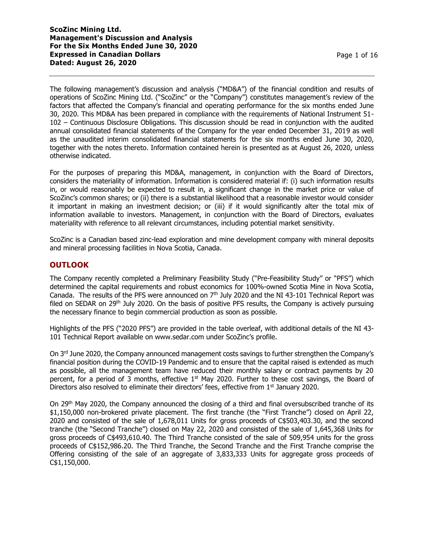The following management's discussion and analysis ("MD&A") of the financial condition and results of operations of ScoZinc Mining Ltd. ("ScoZinc" or the "Company") constitutes management's review of the factors that affected the Company's financial and operating performance for the six months ended June 30, 2020. This MD&A has been prepared in compliance with the requirements of National Instrument 51- 102 – Continuous Disclosure Obligations. This discussion should be read in conjunction with the audited annual consolidated financial statements of the Company for the year ended December 31, 2019 as well as the unaudited interim consolidated financial statements for the six months ended June 30, 2020, together with the notes thereto. Information contained herein is presented as at August 26, 2020, unless otherwise indicated.

For the purposes of preparing this MD&A, management, in conjunction with the Board of Directors, considers the materiality of information. Information is considered material if: (i) such information results in, or would reasonably be expected to result in, a significant change in the market price or value of ScoZinc's common shares; or (ii) there is a substantial likelihood that a reasonable investor would consider it important in making an investment decision; or (iii) if it would significantly alter the total mix of information available to investors. Management, in conjunction with the Board of Directors, evaluates materiality with reference to all relevant circumstances, including potential market sensitivity.

ScoZinc is a Canadian based zinc-lead exploration and mine development company with mineral deposits and mineral processing facilities in Nova Scotia, Canada.

# **OUTLOOK**

The Company recently completed a Preliminary Feasibility Study ("Pre-Feasibility Study" or "PFS") which determined the capital requirements and robust economics for 100%-owned Scotia Mine in Nova Scotia, Canada. The results of the PFS were announced on  $7<sup>th</sup>$  July 2020 and the NI 43-101 Technical Report was filed on SEDAR on  $29<sup>th</sup>$  July 2020. On the basis of positive PFS results, the Company is actively pursuing the necessary finance to begin commercial production as soon as possible.

Highlights of the PFS ("2020 PFS") are provided in the table overleaf, with additional details of the NI 43- 101 Technical Report available on www.sedar.com under ScoZinc's profile.

On 3<sup>rd</sup> June 2020, the Company announced management costs savings to further strengthen the Company's financial position during the COVID-19 Pandemic and to ensure that the capital raised is extended as much as possible, all the management team have reduced their monthly salary or contract payments by 20 percent, for a period of 3 months, effective  $1<sup>st</sup>$  May 2020. Further to these cost savings, the Board of Directors also resolved to eliminate their directors' fees, effective from 1<sup>st</sup> January 2020.

On 29th May 2020, the Company announced the closing of a third and final oversubscribed tranche of its \$1,150,000 non-brokered private placement. The first tranche (the "First Tranche") closed on April 22, 2020 and consisted of the sale of 1,678,011 Units for gross proceeds of C\$503,403.30, and the second tranche (the "Second Tranche") closed on May 22, 2020 and consisted of the sale of 1,645,368 Units for gross proceeds of C\$493,610.40. The Third Tranche consisted of the sale of 509,954 units for the gross proceeds of C\$152,986.20. The Third Tranche, the Second Tranche and the First Tranche comprise the Offering consisting of the sale of an aggregate of 3,833,333 Units for aggregate gross proceeds of C\$1,150,000.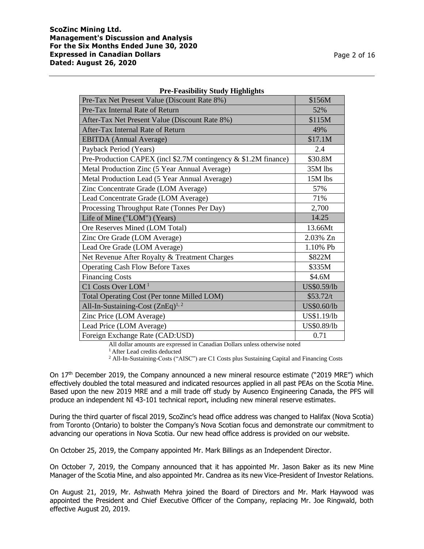| TTC-Peasibility Study Highlights                                |             |  |  |  |  |
|-----------------------------------------------------------------|-------------|--|--|--|--|
| Pre-Tax Net Present Value (Discount Rate 8%)                    | \$156M      |  |  |  |  |
| Pre-Tax Internal Rate of Return                                 | 52%         |  |  |  |  |
| After-Tax Net Present Value (Discount Rate 8%)                  | \$115M      |  |  |  |  |
| After-Tax Internal Rate of Return                               | 49%         |  |  |  |  |
| <b>EBITDA</b> (Annual Average)                                  | \$17.1M     |  |  |  |  |
| Payback Period (Years)                                          | 2.4         |  |  |  |  |
| Pre-Production CAPEX (incl \$2.7M contingency & \$1.2M finance) | \$30.8M     |  |  |  |  |
| Metal Production Zinc (5 Year Annual Average)                   | 35M lbs     |  |  |  |  |
| Metal Production Lead (5 Year Annual Average)                   | 15M lbs     |  |  |  |  |
| Zinc Concentrate Grade (LOM Average)                            | 57%         |  |  |  |  |
| Lead Concentrate Grade (LOM Average)                            | 71%         |  |  |  |  |
| Processing Throughput Rate (Tonnes Per Day)                     | 2,700       |  |  |  |  |
| Life of Mine ("LOM") (Years)                                    | 14.25       |  |  |  |  |
| Ore Reserves Mined (LOM Total)                                  | 13.66Mt     |  |  |  |  |
| Zinc Ore Grade (LOM Average)                                    | 2.03% Zn    |  |  |  |  |
| Lead Ore Grade (LOM Average)                                    | 1.10% Pb    |  |  |  |  |
| Net Revenue After Royalty & Treatment Charges                   | \$822M      |  |  |  |  |
| <b>Operating Cash Flow Before Taxes</b>                         | \$335M      |  |  |  |  |
| <b>Financing Costs</b>                                          | \$4.6M      |  |  |  |  |
| C1 Costs Over LOM <sup>1</sup>                                  | US\$0.59/lb |  |  |  |  |
| Total Operating Cost (Per tonne Milled LOM)                     | \$53.72/t   |  |  |  |  |
| All-In-Sustaining-Cost $(ZnEq)^{1,2}$                           | US\$0.60/lb |  |  |  |  |
| Zinc Price (LOM Average)                                        | US\$1.19/lb |  |  |  |  |
| Lead Price (LOM Average)                                        | US\$0.89/lb |  |  |  |  |
| Foreign Exchange Rate (CAD:USD)                                 | 0.71        |  |  |  |  |

**Pre-Feasibility Study Highlights**

All dollar amounts are expressed in Canadian Dollars unless otherwise noted

<sup>1</sup> After Lead credits deducted

<sup>2</sup> All-In-Sustaining-Costs ("AISC") are C1 Costs plus Sustaining Capital and Financing Costs

On 17th December 2019, the Company announced a new mineral resource estimate ("2019 MRE") which effectively doubled the total measured and indicated resources applied in all past PEAs on the Scotia Mine. Based upon the new 2019 MRE and a mill trade off study by Ausenco Engineering Canada, the PFS will produce an independent NI 43-101 technical report, including new mineral reserve estimates.

During the third quarter of fiscal 2019, ScoZinc's head office address was changed to Halifax (Nova Scotia) from Toronto (Ontario) to bolster the Company's Nova Scotian focus and demonstrate our commitment to advancing our operations in Nova Scotia. Our new head office address is provided on our website.

On October 25, 2019, the Company appointed Mr. Mark Billings as an Independent Director.

On October 7, 2019, the Company announced that it has appointed Mr. Jason Baker as its new Mine Manager of the Scotia Mine, and also appointed Mr. Candrea as its new Vice-President of Investor Relations.

On August 21, 2019, Mr. Ashwath Mehra joined the Board of Directors and Mr. Mark Haywood was appointed the President and Chief Executive Officer of the Company, replacing Mr. Joe Ringwald, both effective August 20, 2019.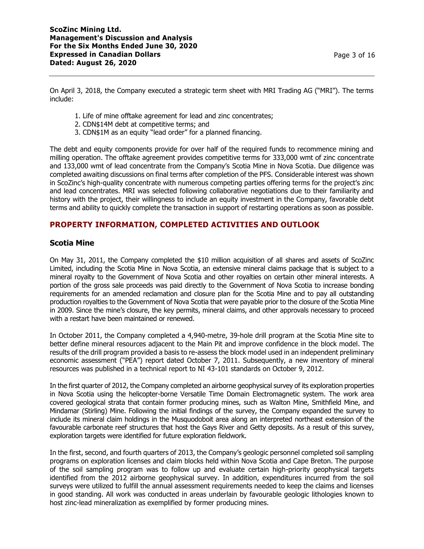On April 3, 2018, the Company executed a strategic term sheet with MRI Trading AG ("MRI"). The terms include:

- 1. Life of mine offtake agreement for lead and zinc concentrates;
- 2. CDN\$14M debt at competitive terms; and
- 3. CDN\$1M as an equity "lead order" for a planned financing.

The debt and equity components provide for over half of the required funds to recommence mining and milling operation. The offtake agreement provides competitive terms for 333,000 wmt of zinc concentrate and 133,000 wmt of lead concentrate from the Company's Scotia Mine in Nova Scotia. Due diligence was completed awaiting discussions on final terms after completion of the PFS. Considerable interest was shown in ScoZinc's high-quality concentrate with numerous competing parties offering terms for the project's zinc and lead concentrates. MRI was selected following collaborative negotiations due to their familiarity and history with the project, their willingness to include an equity investment in the Company, favorable debt terms and ability to quickly complete the transaction in support of restarting operations as soon as possible.

# **PROPERTY INFORMATION, COMPLETED ACTIVITIES AND OUTLOOK**

## **Scotia Mine**

On May 31, 2011, the Company completed the \$10 million acquisition of all shares and assets of ScoZinc Limited, including the Scotia Mine in Nova Scotia, an extensive mineral claims package that is subject to a mineral royalty to the Government of Nova Scotia and other royalties on certain other mineral interests. A portion of the gross sale proceeds was paid directly to the Government of Nova Scotia to increase bonding requirements for an amended reclamation and closure plan for the Scotia Mine and to pay all outstanding production royalties to the Government of Nova Scotia that were payable prior to the closure of the Scotia Mine in 2009. Since the mine's closure, the key permits, mineral claims, and other approvals necessary to proceed with a restart have been maintained or renewed.

In October 2011, the Company completed a 4,940-metre, 39-hole drill program at the Scotia Mine site to better define mineral resources adjacent to the Main Pit and improve confidence in the block model. The results of the drill program provided a basis to re-assess the block model used in an independent preliminary economic assessment ("PEA") report dated October 7, 2011. Subsequently, a new inventory of mineral resources was published in a technical report to NI 43-101 standards on October 9, 2012.

In the first quarter of 2012, the Company completed an airborne geophysical survey of its exploration properties in Nova Scotia using the helicopter-borne Versatile Time Domain Electromagnetic system. The work area covered geological strata that contain former producing mines, such as Walton Mine, Smithfield Mine, and Mindamar (Stirling) Mine. Following the initial findings of the survey, the Company expanded the survey to include its mineral claim holdings in the Musquodoboit area along an interpreted northeast extension of the favourable carbonate reef structures that host the Gays River and Getty deposits. As a result of this survey, exploration targets were identified for future exploration fieldwork.

In the first, second, and fourth quarters of 2013, the Company's geologic personnel completed soil sampling programs on exploration licenses and claim blocks held within Nova Scotia and Cape Breton. The purpose of the soil sampling program was to follow up and evaluate certain high-priority geophysical targets identified from the 2012 airborne geophysical survey. In addition, expenditures incurred from the soil surveys were utilized to fulfill the annual assessment requirements needed to keep the claims and licenses in good standing. All work was conducted in areas underlain by favourable geologic lithologies known to host zinc-lead mineralization as exemplified by former producing mines.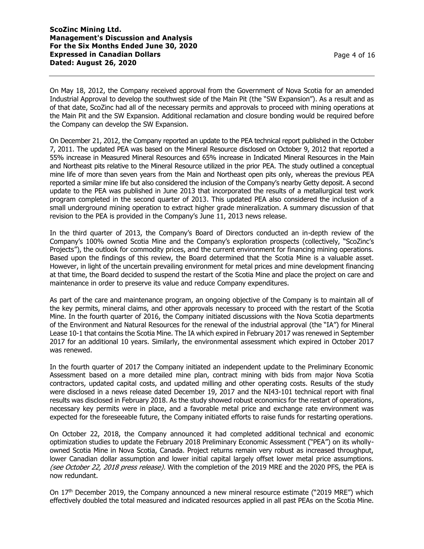On May 18, 2012, the Company received approval from the Government of Nova Scotia for an amended Industrial Approval to develop the southwest side of the Main Pit (the "SW Expansion"). As a result and as of that date, ScoZinc had all of the necessary permits and approvals to proceed with mining operations at the Main Pit and the SW Expansion. Additional reclamation and closure bonding would be required before the Company can develop the SW Expansion.

On December 21, 2012, the Company reported an update to the PEA technical report published in the October 7, 2011. The updated PEA was based on the Mineral Resource disclosed on October 9, 2012 that reported a 55% increase in Measured Mineral Resources and 65% increase in Indicated Mineral Resources in the Main and Northeast pits relative to the Mineral Resource utilized in the prior PEA. The study outlined a conceptual mine life of more than seven years from the Main and Northeast open pits only, whereas the previous PEA reported a similar mine life but also considered the inclusion of the Company's nearby Getty deposit. A second update to the PEA was published in June 2013 that incorporated the results of a metallurgical test work program completed in the second quarter of 2013. This updated PEA also considered the inclusion of a small underground mining operation to extract higher grade mineralization. A summary discussion of that revision to the PEA is provided in the Company's June 11, 2013 news release.

In the third quarter of 2013, the Company's Board of Directors conducted an in-depth review of the Company's 100% owned Scotia Mine and the Company's exploration prospects (collectively, "ScoZinc's Projects"), the outlook for commodity prices, and the current environment for financing mining operations. Based upon the findings of this review, the Board determined that the Scotia Mine is a valuable asset. However, in light of the uncertain prevailing environment for metal prices and mine development financing at that time, the Board decided to suspend the restart of the Scotia Mine and place the project on care and maintenance in order to preserve its value and reduce Company expenditures.

As part of the care and maintenance program, an ongoing objective of the Company is to maintain all of the key permits, mineral claims, and other approvals necessary to proceed with the restart of the Scotia Mine. In the fourth quarter of 2016, the Company initiated discussions with the Nova Scotia departments of the Environment and Natural Resources for the renewal of the industrial approval (the "IA") for Mineral Lease 10-1 that contains the Scotia Mine. The IA which expired in February 2017 was renewed in September 2017 for an additional 10 years. Similarly, the environmental assessment which expired in October 2017 was renewed.

In the fourth quarter of 2017 the Company initiated an independent update to the Preliminary Economic Assessment based on a more detailed mine plan, contract mining with bids from major Nova Scotia contractors, updated capital costs, and updated milling and other operating costs. Results of the study were disclosed in a news release dated December 19, 2017 and the NI43-101 technical report with final results was disclosed in February 2018. As the study showed robust economics for the restart of operations, necessary key permits were in place, and a favorable metal price and exchange rate environment was expected for the foreseeable future, the Company initiated efforts to raise funds for restarting operations.

On October 22, 2018, the Company announced it had completed additional technical and economic optimization studies to update the February 2018 Preliminary Economic Assessment ("PEA") on its whollyowned Scotia Mine in Nova Scotia, Canada. Project returns remain very robust as increased throughput, lower Canadian dollar assumption and lower initial capital largely offset lower metal price assumptions. (see October 22, 2018 press release). With the completion of the 2019 MRE and the 2020 PFS, the PEA is now redundant.

On 17<sup>th</sup> December 2019, the Company announced a new mineral resource estimate ("2019 MRE") which effectively doubled the total measured and indicated resources applied in all past PEAs on the Scotia Mine.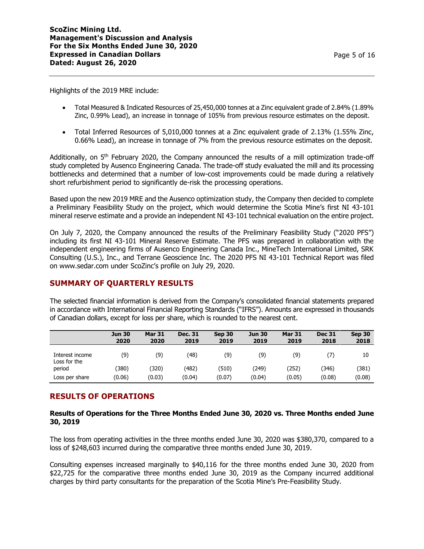Highlights of the 2019 MRE include:

- Total Measured & Indicated Resources of 25,450,000 tonnes at a Zinc equivalent grade of 2.84% (1.89% Zinc, 0.99% Lead), an increase in tonnage of 105% from previous resource estimates on the deposit.
- Total Inferred Resources of 5,010,000 tonnes at a Zinc equivalent grade of 2.13% (1.55% Zinc, 0.66% Lead), an increase in tonnage of 7% from the previous resource estimates on the deposit.

Additionally, on  $5<sup>th</sup>$  February 2020, the Company announced the results of a mill optimization trade-off study completed by Ausenco Engineering Canada. The trade-off study evaluated the mill and its processing bottlenecks and determined that a number of low-cost improvements could be made during a relatively short refurbishment period to significantly de-risk the processing operations.

Based upon the new 2019 MRE and the Ausenco optimization study, the Company then decided to complete a Preliminary Feasibility Study on the project, which would determine the Scotia Mine's first NI 43-101 mineral reserve estimate and a provide an independent NI 43-101 technical evaluation on the entire project.

On July 7, 2020, the Company announced the results of the Preliminary Feasibility Study ("2020 PFS") including its first NI 43-101 Mineral Reserve Estimate. The PFS was prepared in collaboration with the independent engineering firms of Ausenco Engineering Canada Inc., MineTech International Limited, SRK Consulting (U.S.), Inc., and Terrane Geoscience Inc. The 2020 PFS NI 43-101 Technical Report was filed on www.sedar.com under ScoZinc's profile on July 29, 2020.

# **SUMMARY OF QUARTERLY RESULTS**

The selected financial information is derived from the Company's consolidated financial statements prepared in accordance with International Financial Reporting Standards ("IFRS"). Amounts are expressed in thousands of Canadian dollars, except for loss per share, which is rounded to the nearest cent.

|                                 | <b>Jun 30</b><br>2020 | <b>Mar 31</b><br>2020 | <b>Dec. 31</b><br>2019 | <b>Sep 30</b><br>2019 | <b>Jun 30</b><br>2019 | <b>Mar 31</b><br>2019 | <b>Dec 31</b><br>2018 | Sep 30<br>2018 |
|---------------------------------|-----------------------|-----------------------|------------------------|-----------------------|-----------------------|-----------------------|-----------------------|----------------|
| Interest income<br>Loss for the | (9)                   | (9)                   | (48)                   | (9)                   | (9)                   | (9)                   | 7)                    | 10             |
| period                          | 380)                  | (320)                 | (482)                  | (510)                 | (249)                 | (252)                 | (346)                 | (381)          |
| Loss per share                  | (0.06)                | (0.03)                | (0.04)                 | (0.07)                | (0.04)                | (0.05)                | (0.08)                | (0.08)         |

# **RESULTS OF OPERATIONS**

### **Results of Operations for the Three Months Ended June 30, 2020 vs. Three Months ended June 30, 2019**

The loss from operating activities in the three months ended June 30, 2020 was \$380,370, compared to a loss of \$248,603 incurred during the comparative three months ended June 30, 2019.

Consulting expenses increased marginally to \$40,116 for the three months ended June 30, 2020 from \$22,725 for the comparative three months ended June 30, 2019 as the Company incurred additional charges by third party consultants for the preparation of the Scotia Mine's Pre-Feasibility Study.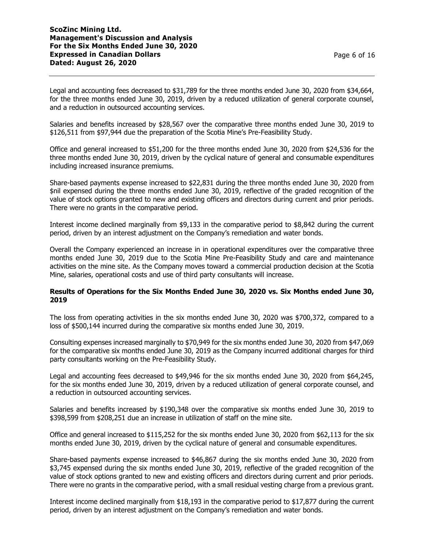Legal and accounting fees decreased to \$31,789 for the three months ended June 30, 2020 from \$34,664, for the three months ended June 30, 2019, driven by a reduced utilization of general corporate counsel, and a reduction in outsourced accounting services.

Salaries and benefits increased by \$28,567 over the comparative three months ended June 30, 2019 to \$126,511 from \$97,944 due the preparation of the Scotia Mine's Pre-Feasibility Study.

Office and general increased to \$51,200 for the three months ended June 30, 2020 from \$24,536 for the three months ended June 30, 2019, driven by the cyclical nature of general and consumable expenditures including increased insurance premiums.

Share-based payments expense increased to \$22,831 during the three months ended June 30, 2020 from \$nil expensed during the three months ended June 30, 2019, reflective of the graded recognition of the value of stock options granted to new and existing officers and directors during current and prior periods. There were no grants in the comparative period.

Interest income declined marginally from \$9,133 in the comparative period to \$8,842 during the current period, driven by an interest adjustment on the Company's remediation and water bonds.

Overall the Company experienced an increase in in operational expenditures over the comparative three months ended June 30, 2019 due to the Scotia Mine Pre-Feasibility Study and care and maintenance activities on the mine site. As the Company moves toward a commercial production decision at the Scotia Mine, salaries, operational costs and use of third party consultants will increase.

### **Results of Operations for the Six Months Ended June 30, 2020 vs. Six Months ended June 30, 2019**

The loss from operating activities in the six months ended June 30, 2020 was \$700,372, compared to a loss of \$500,144 incurred during the comparative six months ended June 30, 2019.

Consulting expenses increased marginally to \$70,949 for the six months ended June 30, 2020 from \$47,069 for the comparative six months ended June 30, 2019 as the Company incurred additional charges for third party consultants working on the Pre-Feasibility Study.

Legal and accounting fees decreased to \$49,946 for the six months ended June 30, 2020 from \$64,245, for the six months ended June 30, 2019, driven by a reduced utilization of general corporate counsel, and a reduction in outsourced accounting services.

Salaries and benefits increased by \$190,348 over the comparative six months ended June 30, 2019 to \$398,599 from \$208,251 due an increase in utilization of staff on the mine site.

Office and general increased to \$115,252 for the six months ended June 30, 2020 from \$62,113 for the six months ended June 30, 2019, driven by the cyclical nature of general and consumable expenditures.

Share-based payments expense increased to \$46,867 during the six months ended June 30, 2020 from \$3,745 expensed during the six months ended June 30, 2019, reflective of the graded recognition of the value of stock options granted to new and existing officers and directors during current and prior periods. There were no grants in the comparative period, with a small residual vesting charge from a previous grant.

Interest income declined marginally from \$18,193 in the comparative period to \$17,877 during the current period, driven by an interest adjustment on the Company's remediation and water bonds.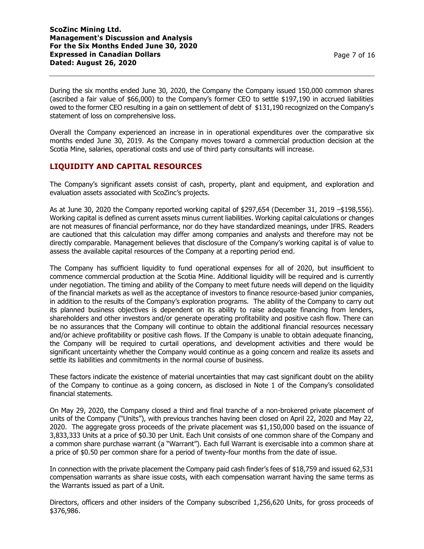During the six months ended June 30, 2020, the Company the Company issued 150,000 common shares (ascribed a fair value of \$66,000) to the Company's former CEO to settle \$197,190 in accrued liabilities owed to the former CEO resulting in a gain on settlement of debt of \$131,190 recognized on the Company's statement of loss on comprehensive loss.

Overall the Company experienced an increase in in operational expenditures over the comparative six months ended June 30, 2019. As the Company moves toward a commercial production decision at the Scotia Mine, salaries, operational costs and use of third party consultants will increase.

# **LIQUIDITY AND CAPITAL RESOURCES**

The Company's significant assets consist of cash, property, plant and equipment, and exploration and evaluation assets associated with ScoZinc's projects.

As at June 30, 2020 the Company reported working capital of \$297,654 (December 31, 2019 –\$198,556). Working capital is defined as current assets minus current liabilities. Working capital calculations or changes are not measures of financial performance, nor do they have standardized meanings, under IFRS. Readers are cautioned that this calculation may differ among companies and analysts and therefore may not be directly comparable. Management believes that disclosure of the Company's working capital is of value to assess the available capital resources of the Company at a reporting period end.

The Company has sufficient liquidity to fund operational expenses for all of 2020, but insufficient to commence commercial production at the Scotia Mine. Additional liquidity will be required and is currently under negotiation. The timing and ability of the Company to meet future needs will depend on the liquidity of the financial markets as well as the acceptance of investors to finance resource-based junior companies, in addition to the results of the Company's exploration programs. The ability of the Company to carry out its planned business objectives is dependent on its ability to raise adequate financing from lenders, shareholders and other investors and/or generate operating profitability and positive cash flow. There can be no assurances that the Company will continue to obtain the additional financial resources necessary and/or achieve profitability or positive cash flows. If the Company is unable to obtain adequate financing, the Company will be required to curtail operations, and development activities and there would be significant uncertainty whether the Company would continue as a going concern and realize its assets and settle its liabilities and commitments in the normal course of business.

These factors indicate the existence of material uncertainties that may cast significant doubt on the ability of the Company to continue as a going concern, as disclosed in Note 1 of the Company's consolidated financial statements.

On May 29, 2020, the Company closed a third and final tranche of a non-brokered private placement of units of the Company ("Units"), with previous tranches having been closed on April 22, 2020 and May 22, 2020. The aggregate gross proceeds of the private placement was \$1,150,000 based on the issuance of 3,833,333 Units at a price of \$0.30 per Unit. Each Unit consists of one common share of the Company and a common share purchase warrant (a "Warrant"). Each full Warrant is exercisable into a common share at a price of \$0.50 per common share for a period of twenty-four months from the date of issue.

In connection with the private placement the Company paid cash finder's fees of \$18,759 and issued 62,531 compensation warrants as share issue costs, with each compensation warrant having the same terms as the Warrants issued as part of a Unit.

Directors, officers and other insiders of the Company subscribed 1,256,620 Units, for gross proceeds of \$376,986.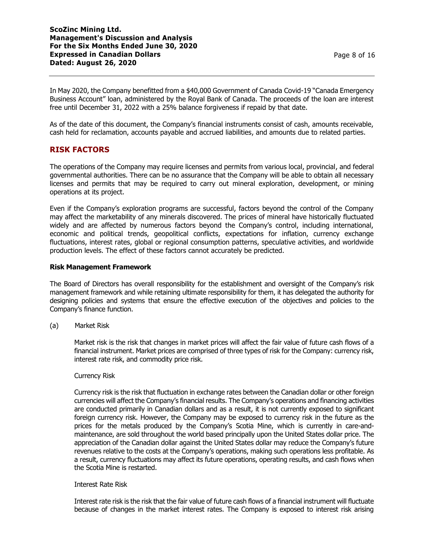In May 2020, the Company benefitted from a \$40,000 Government of Canada Covid-19 "Canada Emergency Business Account" loan, administered by the Royal Bank of Canada. The proceeds of the loan are interest free until December 31, 2022 with a 25% balance forgiveness if repaid by that date.

As of the date of this document, the Company's financial instruments consist of cash, amounts receivable, cash held for reclamation, accounts payable and accrued liabilities, and amounts due to related parties.

# **RISK FACTORS**

The operations of the Company may require licenses and permits from various local, provincial, and federal governmental authorities. There can be no assurance that the Company will be able to obtain all necessary licenses and permits that may be required to carry out mineral exploration, development, or mining operations at its project.

Even if the Company's exploration programs are successful, factors beyond the control of the Company may affect the marketability of any minerals discovered. The prices of mineral have historically fluctuated widely and are affected by numerous factors beyond the Company's control, including international, economic and political trends, geopolitical conflicts, expectations for inflation, currency exchange fluctuations, interest rates, global or regional consumption patterns, speculative activities, and worldwide production levels. The effect of these factors cannot accurately be predicted.

### **Risk Management Framework**

The Board of Directors has overall responsibility for the establishment and oversight of the Company's risk management framework and while retaining ultimate responsibility for them, it has delegated the authority for designing policies and systems that ensure the effective execution of the objectives and policies to the Company's finance function.

(a) Market Risk

Market risk is the risk that changes in market prices will affect the fair value of future cash flows of a financial instrument. Market prices are comprised of three types of risk for the Company: currency risk, interest rate risk, and commodity price risk.

### Currency Risk

Currency risk is the risk that fluctuation in exchange rates between the Canadian dollar or other foreign currencies will affect the Company's financial results. The Company's operations and financing activities are conducted primarily in Canadian dollars and as a result, it is not currently exposed to significant foreign currency risk. However, the Company may be exposed to currency risk in the future as the prices for the metals produced by the Company's Scotia Mine, which is currently in care-andmaintenance, are sold throughout the world based principally upon the United States dollar price. The appreciation of the Canadian dollar against the United States dollar may reduce the Company's future revenues relative to the costs at the Company's operations, making such operations less profitable. As a result, currency fluctuations may affect its future operations, operating results, and cash flows when the Scotia Mine is restarted.

### Interest Rate Risk

Interest rate risk is the risk that the fair value of future cash flows of a financial instrument will fluctuate because of changes in the market interest rates. The Company is exposed to interest risk arising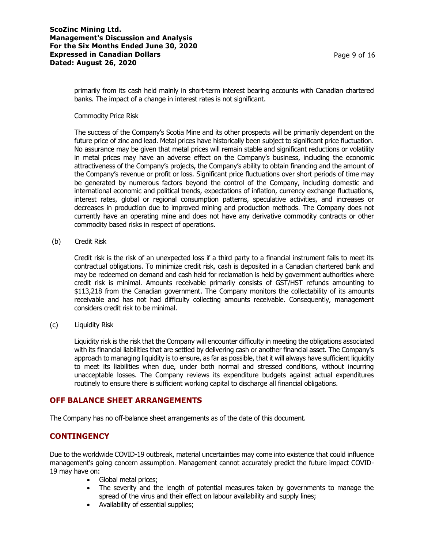primarily from its cash held mainly in short-term interest bearing accounts with Canadian chartered banks. The impact of a change in interest rates is not significant.

Commodity Price Risk

The success of the Company's Scotia Mine and its other prospects will be primarily dependent on the future price of zinc and lead. Metal prices have historically been subject to significant price fluctuation. No assurance may be given that metal prices will remain stable and significant reductions or volatility in metal prices may have an adverse effect on the Company's business, including the economic attractiveness of the Company's projects, the Company's ability to obtain financing and the amount of the Company's revenue or profit or loss. Significant price fluctuations over short periods of time may be generated by numerous factors beyond the control of the Company, including domestic and international economic and political trends, expectations of inflation, currency exchange fluctuations, interest rates, global or regional consumption patterns, speculative activities, and increases or decreases in production due to improved mining and production methods. The Company does not currently have an operating mine and does not have any derivative commodity contracts or other commodity based risks in respect of operations.

(b) Credit Risk

Credit risk is the risk of an unexpected loss if a third party to a financial instrument fails to meet its contractual obligations. To minimize credit risk, cash is deposited in a Canadian chartered bank and may be redeemed on demand and cash held for reclamation is held by government authorities where credit risk is minimal. Amounts receivable primarily consists of GST/HST refunds amounting to \$113,218 from the Canadian government. The Company monitors the collectability of its amounts receivable and has not had difficulty collecting amounts receivable. Consequently, management considers credit risk to be minimal.

(c) Liquidity Risk

Liquidity risk is the risk that the Company will encounter difficulty in meeting the obligations associated with its financial liabilities that are settled by delivering cash or another financial asset. The Company's approach to managing liquidity is to ensure, as far as possible, that it will always have sufficient liquidity to meet its liabilities when due, under both normal and stressed conditions, without incurring unacceptable losses. The Company reviews its expenditure budgets against actual expenditures routinely to ensure there is sufficient working capital to discharge all financial obligations.

## **OFF BALANCE SHEET ARRANGEMENTS**

The Company has no off-balance sheet arrangements as of the date of this document.

## **CONTINGENCY**

Due to the worldwide COVID-19 outbreak, material uncertainties may come into existence that could influence management's going concern assumption. Management cannot accurately predict the future impact COVID-19 may have on:

- Global metal prices;
- The severity and the length of potential measures taken by governments to manage the spread of the virus and their effect on labour availability and supply lines;
- Availability of essential supplies;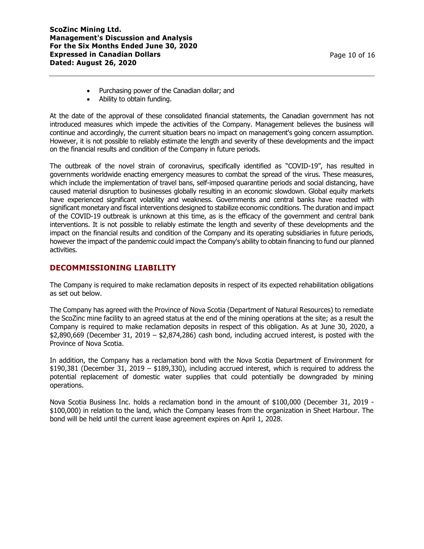- Purchasing power of the Canadian dollar; and
- Ability to obtain funding.

At the date of the approval of these consolidated financial statements, the Canadian government has not introduced measures which impede the activities of the Company. Management believes the business will continue and accordingly, the current situation bears no impact on management's going concern assumption. However, it is not possible to reliably estimate the length and severity of these developments and the impact on the financial results and condition of the Company in future periods.

The outbreak of the novel strain of coronavirus, specifically identified as "COVID-19", has resulted in governments worldwide enacting emergency measures to combat the spread of the virus. These measures, which include the implementation of travel bans, self-imposed quarantine periods and social distancing, have caused material disruption to businesses globally resulting in an economic slowdown. Global equity markets have experienced significant volatility and weakness. Governments and central banks have reacted with significant monetary and fiscal interventions designed to stabilize economic conditions. The duration and impact of the COVID-19 outbreak is unknown at this time, as is the efficacy of the government and central bank interventions. It is not possible to reliably estimate the length and severity of these developments and the impact on the financial results and condition of the Company and its operating subsidiaries in future periods, however the impact of the pandemic could impact the Company's ability to obtain financing to fund our planned activities.

# **DECOMMISSIONING LIABILITY**

The Company is required to make reclamation deposits in respect of its expected rehabilitation obligations as set out below.

The Company has agreed with the Province of Nova Scotia (Department of Natural Resources) to remediate the ScoZinc mine facility to an agreed status at the end of the mining operations at the site; as a result the Company is required to make reclamation deposits in respect of this obligation. As at June 30, 2020, a  $$2,890,669$  (December 31, 2019 –  $$2,874,286$ ) cash bond, including accrued interest, is posted with the Province of Nova Scotia.

In addition, the Company has a reclamation bond with the Nova Scotia Department of Environment for \$190,381 (December 31, 2019 – \$189,330), including accrued interest, which is required to address the potential replacement of domestic water supplies that could potentially be downgraded by mining operations.

Nova Scotia Business Inc. holds a reclamation bond in the amount of \$100,000 (December 31, 2019 - \$100,000) in relation to the land, which the Company leases from the organization in Sheet Harbour. The bond will be held until the current lease agreement expires on April 1, 2028.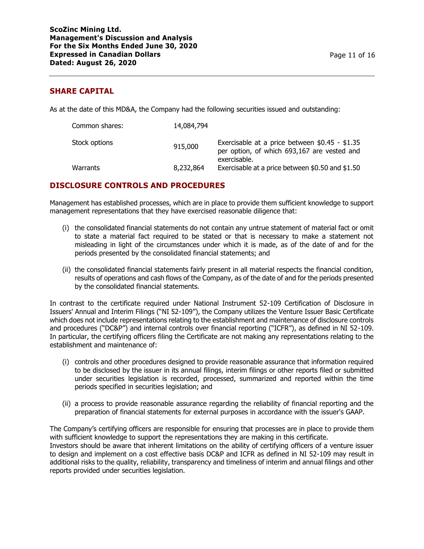## **SHARE CAPITAL**

As at the date of this MD&A, the Company had the following securities issued and outstanding:

| Common shares: | 14,084,794 |                                                                                                               |
|----------------|------------|---------------------------------------------------------------------------------------------------------------|
| Stock options  | 915,000    | Exercisable at a price between $$0.45 - $1.35$<br>per option, of which 693,167 are vested and<br>exercisable. |
| Warrants       | 8,232,864  | Exercisable at a price between \$0.50 and \$1.50                                                              |

# **DISCLOSURE CONTROLS AND PROCEDURES**

Management has established processes, which are in place to provide them sufficient knowledge to support management representations that they have exercised reasonable diligence that:

- (i) the consolidated financial statements do not contain any untrue statement of material fact or omit to state a material fact required to be stated or that is necessary to make a statement not misleading in light of the circumstances under which it is made, as of the date of and for the periods presented by the consolidated financial statements; and
- (ii) the consolidated financial statements fairly present in all material respects the financial condition, results of operations and cash flows of the Company, as of the date of and for the periods presented by the consolidated financial statements.

In contrast to the certificate required under National Instrument 52-109 Certification of Disclosure in Issuers' Annual and Interim Filings ("NI 52-109"), the Company utilizes the Venture Issuer Basic Certificate which does not include representations relating to the establishment and maintenance of disclosure controls and procedures ("DC&P") and internal controls over financial reporting ("ICFR"), as defined in NI 52-109. In particular, the certifying officers filing the Certificate are not making any representations relating to the establishment and maintenance of:

- (i) controls and other procedures designed to provide reasonable assurance that information required to be disclosed by the issuer in its annual filings, interim filings or other reports filed or submitted under securities legislation is recorded, processed, summarized and reported within the time periods specified in securities legislation; and
- (ii) a process to provide reasonable assurance regarding the reliability of financial reporting and the preparation of financial statements for external purposes in accordance with the issuer's GAAP.

The Company's certifying officers are responsible for ensuring that processes are in place to provide them with sufficient knowledge to support the representations they are making in this certificate. Investors should be aware that inherent limitations on the ability of certifying officers of a venture issuer to design and implement on a cost effective basis DC&P and ICFR as defined in NI 52-109 may result in additional risks to the quality, reliability, transparency and timeliness of interim and annual filings and other reports provided under securities legislation.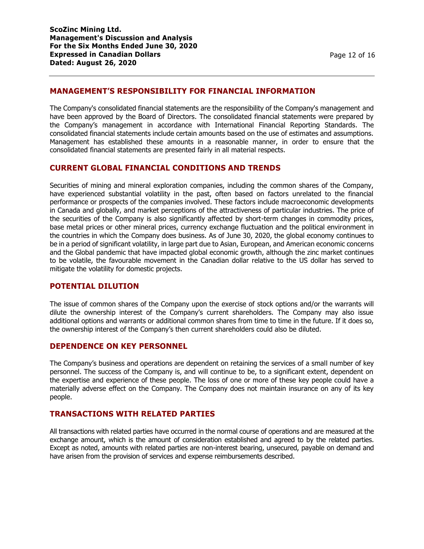# **MANAGEMENT'S RESPONSIBILITY FOR FINANCIAL INFORMATION**

The Company's consolidated financial statements are the responsibility of the Company's management and have been approved by the Board of Directors. The consolidated financial statements were prepared by the Company's management in accordance with International Financial Reporting Standards. The consolidated financial statements include certain amounts based on the use of estimates and assumptions. Management has established these amounts in a reasonable manner, in order to ensure that the consolidated financial statements are presented fairly in all material respects.

### **CURRENT GLOBAL FINANCIAL CONDITIONS AND TRENDS**

Securities of mining and mineral exploration companies, including the common shares of the Company, have experienced substantial volatility in the past, often based on factors unrelated to the financial performance or prospects of the companies involved. These factors include macroeconomic developments in Canada and globally, and market perceptions of the attractiveness of particular industries. The price of the securities of the Company is also significantly affected by short-term changes in commodity prices, base metal prices or other mineral prices, currency exchange fluctuation and the political environment in the countries in which the Company does business. As of June 30, 2020, the global economy continues to be in a period of significant volatility, in large part due to Asian, European, and American economic concerns and the Global pandemic that have impacted global economic growth, although the zinc market continues to be volatile, the favourable movement in the Canadian dollar relative to the US dollar has served to mitigate the volatility for domestic projects.

## **POTENTIAL DILUTION**

The issue of common shares of the Company upon the exercise of stock options and/or the warrants will dilute the ownership interest of the Company's current shareholders. The Company may also issue additional options and warrants or additional common shares from time to time in the future. If it does so, the ownership interest of the Company's then current shareholders could also be diluted.

### **DEPENDENCE ON KEY PERSONNEL**

The Company's business and operations are dependent on retaining the services of a small number of key personnel. The success of the Company is, and will continue to be, to a significant extent, dependent on the expertise and experience of these people. The loss of one or more of these key people could have a materially adverse effect on the Company. The Company does not maintain insurance on any of its key people.

## **TRANSACTIONS WITH RELATED PARTIES**

All transactions with related parties have occurred in the normal course of operations and are measured at the exchange amount, which is the amount of consideration established and agreed to by the related parties. Except as noted, amounts with related parties are non-interest bearing, unsecured, payable on demand and have arisen from the provision of services and expense reimbursements described.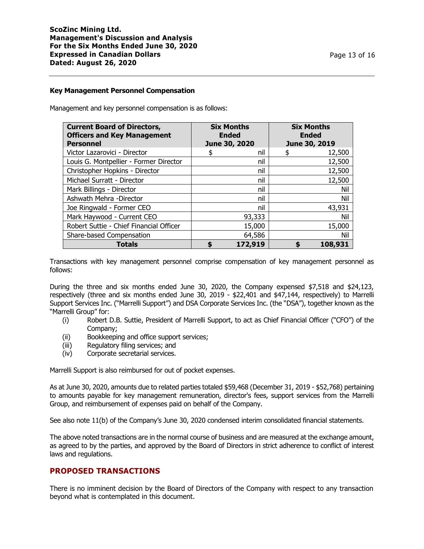#### **Key Management Personnel Compensation**

Management and key personnel compensation is as follows:

| <b>Current Board of Directors,</b><br><b>Officers and Key Management</b><br><b>Personnel</b> | <b>Six Months</b><br><b>Ended</b><br>June 30, 2020 |         | <b>Six Months</b><br><b>Ended</b><br>June 30, 2019 |
|----------------------------------------------------------------------------------------------|----------------------------------------------------|---------|----------------------------------------------------|
| Victor Lazarovici - Director                                                                 |                                                    | nil     | 12,500                                             |
| Louis G. Montpellier - Former Director                                                       |                                                    | nil     | 12,500                                             |
| Christopher Hopkins - Director                                                               |                                                    | nil     | 12,500                                             |
| Michael Surratt - Director                                                                   |                                                    | nil     | 12,500                                             |
| Mark Billings - Director                                                                     |                                                    | nil     | Nil                                                |
| Ashwath Mehra -Director                                                                      |                                                    | nil     | Nil                                                |
| Joe Ringwald - Former CEO                                                                    |                                                    | nil     | 43,931                                             |
| Mark Haywood - Current CEO                                                                   |                                                    | 93,333  | Nil                                                |
| Robert Suttie - Chief Financial Officer                                                      |                                                    | 15,000  | 15,000                                             |
| Share-based Compensation                                                                     |                                                    | 64,586  | Nil                                                |
| <b>Totals</b>                                                                                |                                                    | 172,919 | 108,931                                            |

Transactions with key management personnel comprise compensation of key management personnel as follows:

During the three and six months ended June 30, 2020, the Company expensed \$7,518 and \$24,123, respectively (three and six months ended June 30, 2019 - \$22,401 and \$47,144, respectively) to Marrelli Support Services Inc. ("Marrelli Support") and DSA Corporate Services Inc. (the "DSA"), together known as the "Marrelli Group" for:

- (i) Robert D.B. Suttie, President of Marrelli Support, to act as Chief Financial Officer ("CFO") of the Company;
- (ii) Bookkeeping and office support services;
- (iii) Regulatory filing services; and
- (iv) Corporate secretarial services.

Marrelli Support is also reimbursed for out of pocket expenses.

As at June 30, 2020, amounts due to related parties totaled \$59,468 (December 31, 2019 - \$52,768) pertaining to amounts payable for key management remuneration, director's fees, support services from the Marrelli Group, and reimbursement of expenses paid on behalf of the Company.

See also note 11(b) of the Company's June 30, 2020 condensed interim consolidated financial statements.

The above noted transactions are in the normal course of business and are measured at the exchange amount, as agreed to by the parties, and approved by the Board of Directors in strict adherence to conflict of interest laws and regulations.

## **PROPOSED TRANSACTIONS**

There is no imminent decision by the Board of Directors of the Company with respect to any transaction beyond what is contemplated in this document.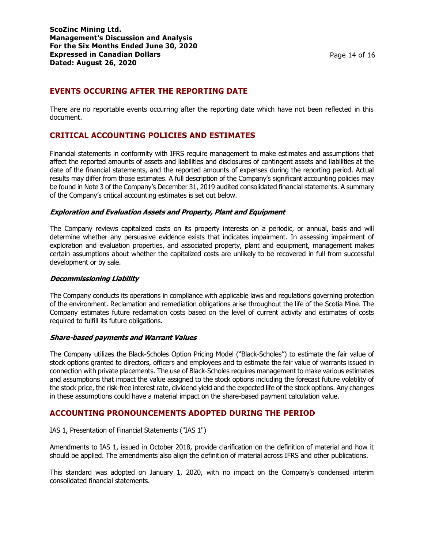# **EVENTS OCCURING AFTER THE REPORTING DATE**

There are no reportable events occurring after the reporting date which have not been reflected in this document.

# **CRITICAL ACCOUNTING POLICIES AND ESTIMATES**

Financial statements in conformity with IFRS require management to make estimates and assumptions that affect the reported amounts of assets and liabilities and disclosures of contingent assets and liabilities at the date of the financial statements, and the reported amounts of expenses during the reporting period. Actual results may differ from those estimates. A full description of the Company's significant accounting policies may be found in Note 3 of the Company's December 31, 2019 audited consolidated financial statements. A summary of the Company's critical accounting estimates is set out below.

### **Exploration and Evaluation Assets and Property, Plant and Equipment**

The Company reviews capitalized costs on its property interests on a periodic, or annual, basis and will determine whether any persuasive evidence exists that indicates impairment. In assessing impairment of exploration and evaluation properties, and associated property, plant and equipment, management makes certain assumptions about whether the capitalized costs are unlikely to be recovered in full from successful development or by sale.

### **Decommissioning Liability**

The Company conducts its operations in compliance with applicable laws and regulations governing protection of the environment. Reclamation and remediation obligations arise throughout the life of the Scotia Mine. The Company estimates future reclamation costs based on the level of current activity and estimates of costs required to fulfill its future obligations.

### **Share-based payments and Warrant Values**

The Company utilizes the Black-Scholes Option Pricing Model ("Black-Scholes") to estimate the fair value of stock options granted to directors, officers and employees and to estimate the fair value of warrants issued in connection with private placements. The use of Black-Scholes requires management to make various estimates and assumptions that impact the value assigned to the stock options including the forecast future volatility of the stock price, the risk-free interest rate, dividend yield and the expected life of the stock options. Any changes in these assumptions could have a material impact on the share-based payment calculation value.

## **ACCOUNTING PRONOUNCEMENTS ADOPTED DURING THE PERIOD**

### IAS 1, Presentation of Financial Statements ("IAS 1")

Amendments to IAS 1, issued in October 2018, provide clarification on the definition of material and how it should be applied. The amendments also align the definition of material across IFRS and other publications.

This standard was adopted on January 1, 2020, with no impact on the Company's condensed interim consolidated financial statements.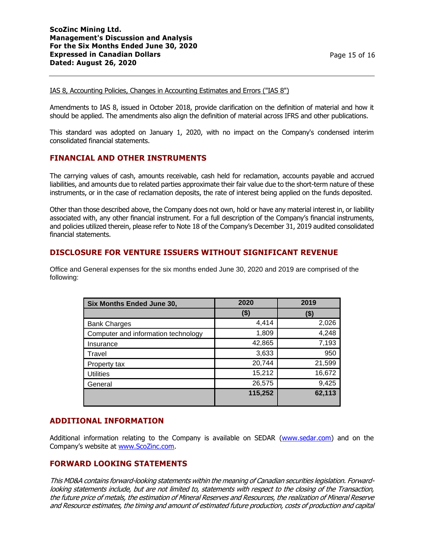#### IAS 8, Accounting Policies, Changes in Accounting Estimates and Errors ("IAS 8")

Amendments to IAS 8, issued in October 2018, provide clarification on the definition of material and how it should be applied. The amendments also align the definition of material across IFRS and other publications.

This standard was adopted on January 1, 2020, with no impact on the Company's condensed interim consolidated financial statements.

## **FINANCIAL AND OTHER INSTRUMENTS**

The carrying values of cash, amounts receivable, cash held for reclamation, accounts payable and accrued liabilities, and amounts due to related parties approximate their fair value due to the short-term nature of these instruments, or in the case of reclamation deposits, the rate of interest being applied on the funds deposited.

Other than those described above, the Company does not own, hold or have any material interest in, or liability associated with, any other financial instrument. For a full description of the Company's financial instruments, and policies utilized therein, please refer to Note 18 of the Company's December 31, 2019 audited consolidated financial statements.

## **DISCLOSURE FOR VENTURE ISSUERS WITHOUT SIGNIFICANT REVENUE**

Office and General expenses for the six months ended June 30, 2020 and 2019 are comprised of the following:

| Six Months Ended June 30,           | 2020    | 2019   |
|-------------------------------------|---------|--------|
|                                     | (\$)    | (\$)   |
| <b>Bank Charges</b>                 | 4,414   | 2,026  |
| Computer and information technology | 1,809   | 4,248  |
| Insurance                           | 42,865  | 7,193  |
| Travel                              | 3,633   | 950    |
| Property tax                        | 20,744  | 21,599 |
| <b>Utilities</b>                    | 15,212  | 16,672 |
| General                             | 26,575  | 9,425  |
|                                     | 115,252 | 62,113 |

## **ADDITIONAL INFORMATION**

Additional information relating to the Company is available on SEDAR [\(www.sedar.com\)](http://www.sedar.com/) and on the Company's website at [www.ScoZinc.com.](http://www.scozinc.com/)

## **FORWARD LOOKING STATEMENTS**

This MD&A contains forward-looking statements within the meaning of Canadian securities legislation. Forwardlooking statements include, but are not limited to, statements with respect to the closing of the Transaction, the future price of metals, the estimation of Mineral Reserves and Resources, the realization of Mineral Reserve and Resource estimates, the timing and amount of estimated future production, costs of production and capital